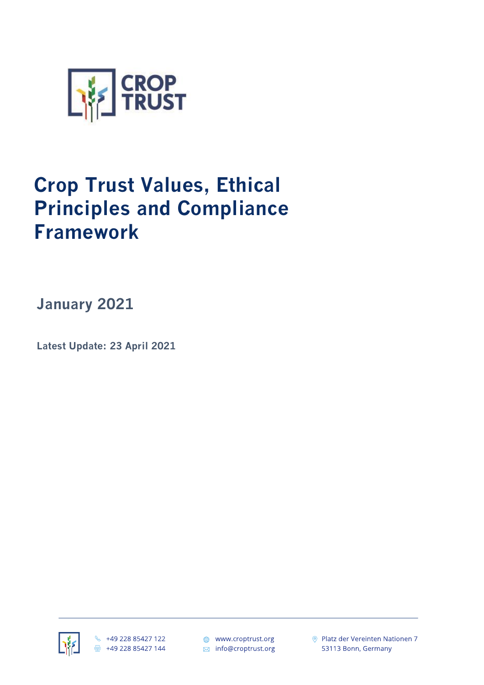

## **Crop Trust Values, Ethical Principles and Compliance Framework**

**January 2021**

**Latest Update: 23 April 2021**



₩ +49 228 85427 122 骨 +49 228 85427 144

● www.croptrust.org ⊠ info@croptrust.org ◎ Platz der Vereinten Nationen 7 53113 Bonn, Germany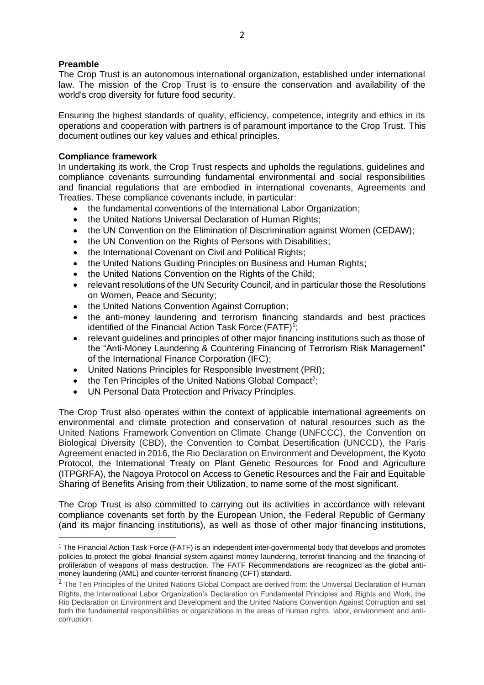## **Preamble**

The Crop Trust is an autonomous international organization, established under international law. The mission of the Crop Trust is to ensure the conservation and availability of the world's crop diversity for future food security.

Ensuring the highest standards of quality, efficiency, competence, integrity and ethics in its operations and cooperation with partners is of paramount importance to the Crop Trust. This document outlines our key values and ethical principles.

## **Compliance framework**

In undertaking its work, the Crop Trust respects and upholds the regulations, guidelines and compliance covenants surrounding fundamental environmental and social responsibilities and financial regulations that are embodied in international covenants, Agreements and Treaties. These compliance covenants include, in particular:

- the fundamental conventions of the International Labor Organization;
- the United Nations Universal Declaration of Human Rights;
- the UN Convention on the Elimination of Discrimination against Women (CEDAW);
- the UN Convention on the Rights of Persons with Disabilities;
- the International Covenant on Civil and Political Rights;
- the United Nations Guiding Principles on Business and Human Rights:
- the United Nations Convention on the Rights of the Child:
- relevant resolutions of the UN Security Council, and in particular those the Resolutions on Women, Peace and Security;
- the United Nations Convention Against Corruption;
- the anti-money laundering and terrorism financing standards and best practices identified of the Financial Action Task Force (FATF)<sup>1</sup>;
- relevant guidelines and principles of other major financing institutions such as those of the "Anti-Money Laundering & Countering Financing of Terrorism Risk Management" of the International Finance Corporation (IFC);
- United Nations Principles for Responsible Investment (PRI);
- $\bullet$  the Ten Principles of the United Nations Global Compact<sup>2</sup>;
- UN Personal Data Protection and Privacy Principles.

The Crop Trust also operates within the context of applicable international agreements on environmental and climate protection and conservation of natural resources such as the United Nations Framework Convention on Climate Change (UNFCCC), the Convention on Biological Diversity (CBD), the Convention to Combat Desertification (UNCCD), the Paris Agreement enacted in 2016, the Rio Declaration on Environment and Development, the Kyoto Protocol, the International Treaty on Plant Genetic Resources for Food and Agriculture (ITPGRFA), the Nagoya Protocol on Access to Genetic Resources and the Fair and Equitable Sharing of Benefits Arising from their Utilization, to name some of the most significant.

The Crop Trust is also committed to carrying out its activities in accordance with relevant compliance covenants set forth by the European Union, the Federal Republic of Germany (and its major financing institutions), as well as those of other major financing institutions,

<sup>&</sup>lt;sup>1</sup> The Financial Action Task Force (FATF) is an independent inter-governmental body that develops and promotes policies to protect the global financial system against money laundering, terrorist financing and the financing of proliferation of weapons of mass destruction. The FATF Recommendations are recognized as the global antimoney laundering (AML) and counter-terrorist financing (CFT) standard.

<sup>&</sup>lt;sup>2</sup> The Ten Principles of the United Nations Global Compact are derived from: the Universal Declaration of Human Rights, the International Labor Organization's Declaration on Fundamental Principles and Rights and Work, the Rio Declaration on Environment and Development and the United Nations Convention Against Corruption and set forth the fundamental responsibilities or organizations in the areas of human rights, labor, environment and anticorruption.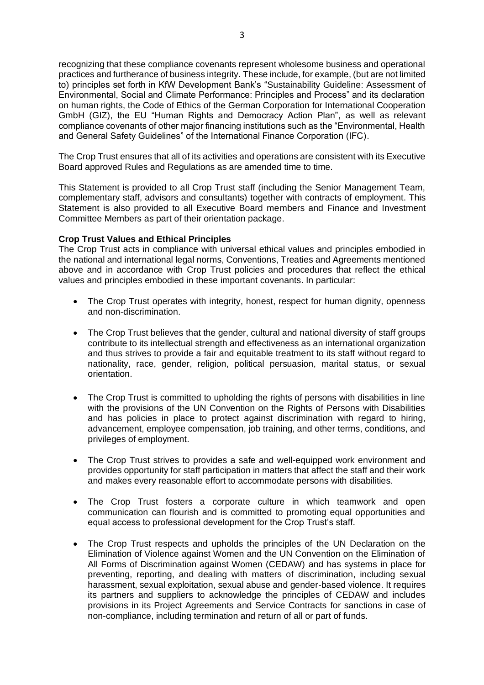recognizing that these compliance covenants represent wholesome business and operational practices and furtherance of business integrity. These include, for example, (but are not limited to) principles set forth in KfW Development Bank's "Sustainability Guideline: Assessment of Environmental, Social and Climate Performance: Principles and Process" and its declaration on human rights, the Code of Ethics of the German Corporation for International Cooperation GmbH (GIZ), the EU "Human Rights and Democracy Action Plan", as well as relevant compliance covenants of other major financing institutions such as the "Environmental, Health and General Safety Guidelines" of the International Finance Corporation (IFC).

The Crop Trust ensures that all of its activities and operations are consistent with its Executive Board approved Rules and Regulations as are amended time to time.

This Statement is provided to all Crop Trust staff (including the Senior Management Team, complementary staff, advisors and consultants) together with contracts of employment. This Statement is also provided to all Executive Board members and Finance and Investment Committee Members as part of their orientation package.

## **Crop Trust Values and Ethical Principles**

The Crop Trust acts in compliance with universal ethical values and principles embodied in the national and international legal norms, Conventions, Treaties and Agreements mentioned above and in accordance with Crop Trust policies and procedures that reflect the ethical values and principles embodied in these important covenants. In particular:

- The Crop Trust operates with integrity, honest, respect for human dignity, openness and non-discrimination.
- The Crop Trust believes that the gender, cultural and national diversity of staff groups contribute to its intellectual strength and effectiveness as an international organization and thus strives to provide a fair and equitable treatment to its staff without regard to nationality, race, gender, religion, political persuasion, marital status, or sexual orientation.
- The Crop Trust is committed to upholding the rights of persons with disabilities in line with the provisions of the UN Convention on the Rights of Persons with Disabilities and has policies in place to protect against discrimination with regard to hiring, advancement, employee compensation, job training, and other terms, conditions, and privileges of employment.
- The Crop Trust strives to provides a safe and well-equipped work environment and provides opportunity for staff participation in matters that affect the staff and their work and makes every reasonable effort to accommodate persons with disabilities.
- The Crop Trust fosters a corporate culture in which teamwork and open communication can flourish and is committed to promoting equal opportunities and equal access to professional development for the Crop Trust's staff.
- The Crop Trust respects and upholds the principles of the UN Declaration on the Elimination of Violence against Women and the UN Convention on the Elimination of All Forms of Discrimination against Women (CEDAW) and has systems in place for preventing, reporting, and dealing with matters of discrimination, including sexual harassment, sexual exploitation, sexual abuse and gender-based violence. It requires its partners and suppliers to acknowledge the principles of CEDAW and includes provisions in its Project Agreements and Service Contracts for sanctions in case of non-compliance, including termination and return of all or part of funds.